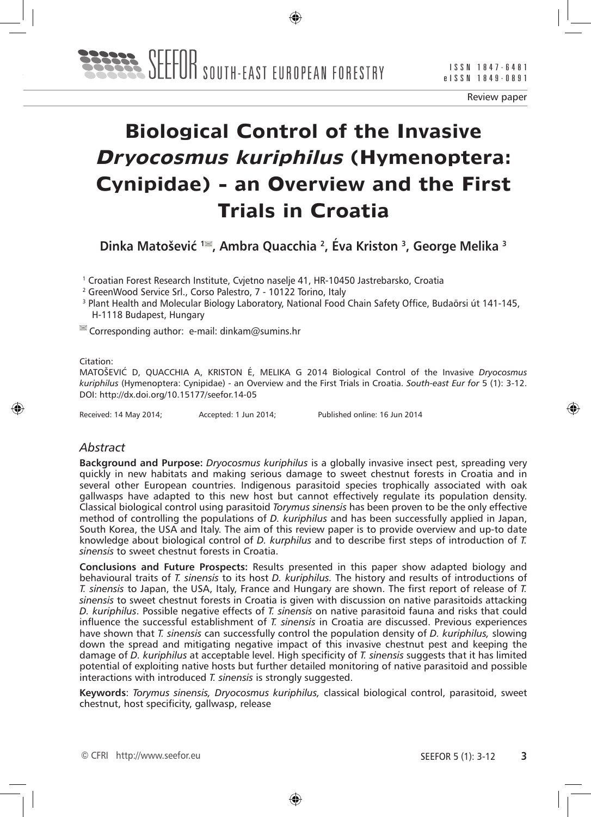Review paper

# **Biological Control of the Invasive Dryocosmus kuriphilus (Hymenoptera: Cynipidae) - an Overview and the First Trials in Croatia**

**Dinka Matošević <sup>1</sup> , Ambra Quacchia 2, Éva Kriston 3, George Melika 3**

1 Croatian Forest Research Institute, Cvjetno naselje 41, HR-10450 Jastrebarsko, Croatia

- 2 GreenWood Service Srl., Corso Palestro, 7 10122 Torino, Italy
- <sup>3</sup> Plant Health and Molecular Biology Laboratory, National Food Chain Safety Office, Budaörsi út 141-145, H-1118 Budapest, Hungary

 $\leq$  Corresponding author: e-mail: dinkam@sumins.hr

Citation:

MATOŠEVIĆ D, QUACCHIA A, KRISTON É, MELIKA G 2014 Biological Control of the Invasive *Dryocosmus kuriphilus* (Hymenoptera: Cynipidae) - an Overview and the First Trials in Croatia. *South-east Eur for* 5 (1): 3-12. DOI: http://dx.doi.org/10.15177/seefor.14-05

Received: 14 May 2014; Accepted: 1 Jun 2014; Published online: 16 Jun 2014

#### *Abstract*

**Background and Purpose:** *Dryocosmus kuriphilus* is a globally invasive insect pest, spreading very quickly in new habitats and making serious damage to sweet chestnut forests in Croatia and in several other European countries. Indigenous parasitoid species trophically associated with oak gallwasps have adapted to this new host but cannot effectively regulate its population density. Classical biological control using parasitoid *Torymus sinensis* has been proven to be the only effective method of controlling the populations of *D. kuriphilus* and has been successfully applied in Japan, South Korea, the USA and Italy. The aim of this review paper is to provide overview and up-to date knowledge about biological control of *D. kurphilus* and to describe first steps of introduction of *T. sinensis* to sweet chestnut forests in Croatia.

**Conclusions and Future Prospects:** Results presented in this paper show adapted biology and behavioural traits of *T. sinensis* to its host *D. kuriphilus.* The history and results of introductions of *T. sinensis* to Japan, the USA, Italy, France and Hungary are shown. The first report of release of *T. sinensis* to sweet chestnut forests in Croatia is given with discussion on native parasitoids attacking *D. kuriphilus*. Possible negative effects of *T. sinensis* on native parasitoid fauna and risks that could influence the successful establishment of *T. sinensis* in Croatia are discussed. Previous experiences have shown that *T. sinensis* can successfully control the population density of *D. kuriphilus,* slowing down the spread and mitigating negative impact of this invasive chestnut pest and keeping the damage of *D. kuriphilus* at acceptable level. High specificity of *T. sinensis* suggests that it has limited potential of exploiting native hosts but further detailed monitoring of native parasitoid and possible interactions with introduced *T. sinensis* is strongly suggested.

**Keywords**: *Torymus sinensis, Dryocosmus kuriphilus,* classical biological control, parasitoid, sweet chestnut, host specificity, gallwasp, release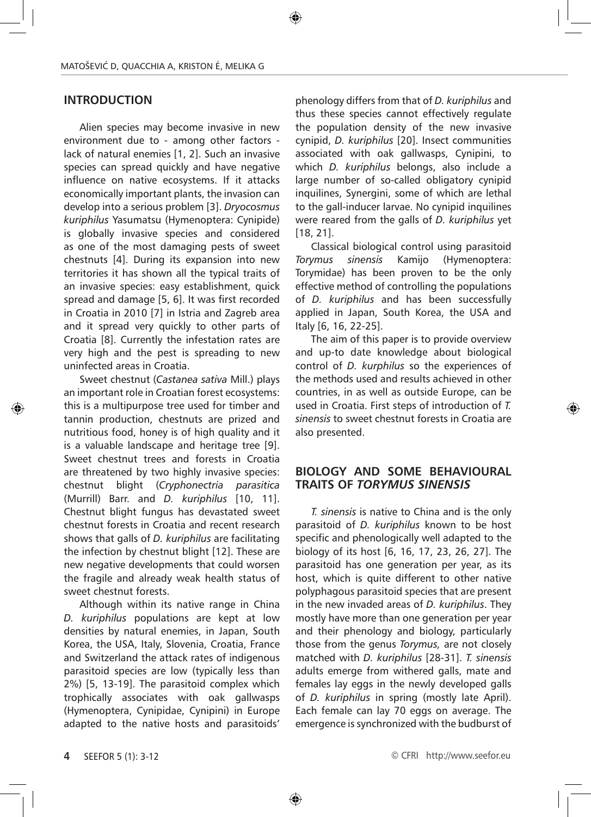## **INTRODUCTION**

Alien species may become invasive in new environment due to - among other factors lack of natural enemies [1, 2]. Such an invasive species can spread quickly and have negative influence on native ecosystems. If it attacks economically important plants, the invasion can develop into a serious problem [3]. *Dryocosmus kuriphilus* Yasumatsu (Hymenoptera: Cynipide) is globally invasive species and considered as one of the most damaging pests of sweet chestnuts [4]. During its expansion into new territories it has shown all the typical traits of an invasive species: easy establishment, quick spread and damage [5, 6]. It was first recorded in Croatia in 2010 [7] in Istria and Zagreb area and it spread very quickly to other parts of Croatia [8]. Currently the infestation rates are very high and the pest is spreading to new uninfected areas in Croatia.

Sweet chestnut (*Castanea sativa* Mill.) plays an important role in Croatian forest ecosystems: this is a multipurpose tree used for timber and tannin production, chestnuts are prized and nutritious food, honey is of high quality and it is a valuable landscape and heritage tree [9]. Sweet chestnut trees and forests in Croatia are threatened by two highly invasive species: chestnut blight (*Cryphonectria parasitica*  (Murrill) Barr. and *D. kuriphilus* [10, 11]. Chestnut blight fungus has devastated sweet chestnut forests in Croatia and recent research shows that galls of *D. kuriphilus* are facilitating the infection by chestnut blight [12]. These are new negative developments that could worsen the fragile and already weak health status of sweet chestnut forests.

Although within its native range in China *D. kuriphilus* populations are kept at low densities by natural enemies, in Japan, South Korea, the USA, Italy, Slovenia, Croatia, France and Switzerland the attack rates of indigenous parasitoid species are low (typically less than 2%) [5, 13-19]. The parasitoid complex which trophically associates with oak gallwasps (Hymenoptera, Cynipidae, Cynipini) in Europe adapted to the native hosts and parasitoids' phenology differs from that of *D. kuriphilus* and thus these species cannot effectively regulate the population density of the new invasive cynipid, *D. kuriphilus* [20]. Insect communities associated with oak gallwasps, Cynipini, to which *D. kuriphilus* belongs, also include a large number of so-called obligatory cynipid inquilines, Synergini, some of which are lethal to the gall-inducer larvae. No cynipid inquilines were reared from the galls of *D. kuriphilus* yet [18, 21].

Classical biological control using parasitoid *Torymus sinensis* Kamijo (Hymenoptera: Torymidae) has been proven to be the only effective method of controlling the populations of *D. kuriphilus* and has been successfully applied in Japan, South Korea, the USA and Italy [6, 16, 22-25].

The aim of this paper is to provide overview and up-to date knowledge about biological control of *D. kurphilus* so the experiences of the methods used and results achieved in other countries, in as well as outside Europe, can be used in Croatia. First steps of introduction of *T. sinensis* to sweet chestnut forests in Croatia are also presented.

#### **BIOLOGY AND SOME BEHAVIOURAL TRAITS OF** *TORYMUS SINENSIS*

*T. sinensis* is native to China and is the only parasitoid of *D. kuriphilus* known to be host specific and phenologically well adapted to the biology of its host [6, 16, 17, 23, 26, 27]. The parasitoid has one generation per year, as its host, which is quite different to other native polyphagous parasitoid species that are present in the new invaded areas of *D. kuriphilus*. They mostly have more than one generation per year and their phenology and biology, particularly those from the genus *Torymus,* are not closely matched with *D. kuriphilus* [28-31]. *T. sinensis*  adults emerge from withered galls, mate and females lay eggs in the newly developed galls of *D. kuriphilus* in spring (mostly late April). Each female can lay 70 eggs on average. The emergence is synchronized with the budburst of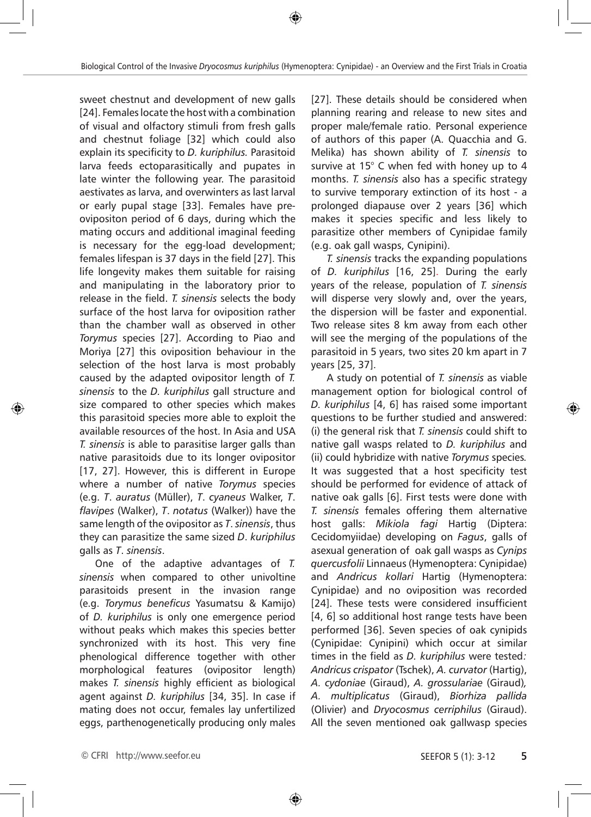sweet chestnut and development of new galls [24]. Females locate the host with a combination of visual and olfactory stimuli from fresh galls and chestnut foliage [32] which could also explain its specificity to *D. kuriphilus.* Parasitoid larva feeds ectoparasitically and pupates in late winter the following year. The parasitoid aestivates as larva, and overwinters as last larval or early pupal stage [33]. Females have preovipositon period of 6 days, during which the mating occurs and additional imaginal feeding is necessary for the egg-load development; females lifespan is 37 days in the field [27]. This life longevity makes them suitable for raising and manipulating in the laboratory prior to release in the field. *T. sinensis* selects the body surface of the host larva for oviposition rather than the chamber wall as observed in other *Torymus* species [27]. According to Piao and Moriya [27] this oviposition behaviour in the selection of the host larva is most probably caused by the adapted ovipositor length of *T. sinensis* to the *D. kuriphilus* gall structure and size compared to other species which makes this parasitoid species more able to exploit the available resources of the host. In Asia and USA *T. sinensis* is able to parasitise larger galls than native parasitoids due to its longer ovipositor [17, 27]. However, this is different in Europe where a number of native *Torymus* species (e.g. *T*. *auratus* (Müller), *T*. *cyaneus* Walker, *T*. *flavipes* (Walker), *T*. *notatus* (Walker)) have the same length of the ovipositor as *T*. *sinensis*, thus they can parasitize the same sized *D*. *kuriphilus* galls as *T*. *sinensis*.

One of the adaptive advantages of *T. sinensis* when compared to other univoltine parasitoids present in the invasion range (e.g. *Torymus beneficus* Yasumatsu & Kamijo) of *D. kuriphilus* is only one emergence period without peaks which makes this species better synchronized with its host. This very fine phenological difference together with other morphological features (ovipositor length) makes *T. sinensis* highly efficient as biological agent against *D. kuriphilus* [34, 35]. In case if mating does not occur, females lay unfertilized eggs, parthenogenetically producing only males [27]. These details should be considered when planning rearing and release to new sites and proper male/female ratio. Personal experience of authors of this paper (A. Quacchia and G. Melika) has shown ability of *T. sinensis* to survive at 15° C when fed with honey up to 4 months. *T. sinensis* also has a specific strategy to survive temporary extinction of its host - a prolonged diapause over 2 years [36] which makes it species specific and less likely to parasitize other members of Cynipidae family (e.g. oak gall wasps, Cynipini).

*T. sinensis* tracks the expanding populations of *D. kuriphilus* [16, 25]. During the early years of the release, population of *T. sinensis* will disperse very slowly and, over the years, the dispersion will be faster and exponential. Two release sites 8 km away from each other will see the merging of the populations of the parasitoid in 5 years, two sites 20 km apart in 7 years [25, 37].

A study on potential of *T. sinensis* as viable management option for biological control of *D. kuriphilus* [4, 6] has raised some important questions to be further studied and answered: (i) the general risk that *T. sinensis* could shift to native gall wasps related to *D. kuriphilus* and (ii) could hybridize with native *Torymus* species*.*  It was suggested that a host specificity test should be performed for evidence of attack of native oak galls [6]. First tests were done with *T. sinensis* females offering them alternative host galls: *Mikiola fagi* Hartig (Diptera: Cecidomyiidae) developing on *Fagus*, galls of asexual generation of oak gall wasps as *Cynips quercusfolii* Linnaeus (Hymenoptera: Cynipidae) and *Andricus kollari* Hartig (Hymenoptera: Cynipidae) and no oviposition was recorded [24]. These tests were considered insufficient [4, 6] so additional host range tests have been performed [36]. Seven species of oak cynipids (Cynipidae: Cynipini) which occur at similar times in the field as *D. kuriphilus* were tested*: Andricus crispator* (Tschek), *A. curvator* (Hartig), *A. cydoniae* (Giraud), *A. grossulariae* (Giraud)*, A. multiplicatus* (Giraud), *Biorhiza pallida* (Olivier) and *Dryocosmus cerriphilus* (Giraud). All the seven mentioned oak gallwasp species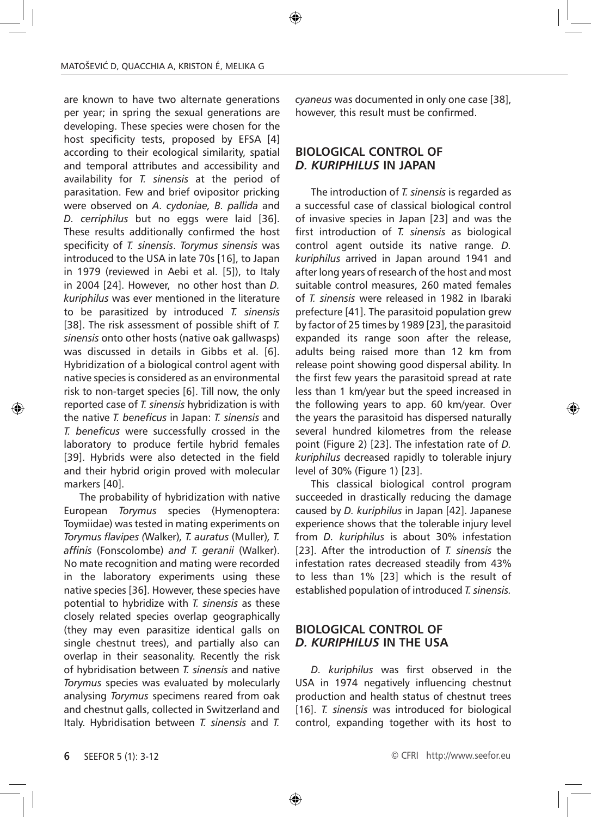are known to have two alternate generations per year; in spring the sexual generations are developing. These species were chosen for the host specificity tests, proposed by EFSA [4] according to their ecological similarity, spatial and temporal attributes and accessibility and availability for *T. sinensis* at the period of parasitation. Few and brief ovipositor pricking were observed on *A. cydoniae, B. pallida* and *D. cerriphilus* but no eggs were laid [36]. These results additionally confirmed the host specificity of *T. sinensis*. *Torymus sinensis* was introduced to the USA in late 70s [16], to Japan in 1979 (reviewed in Aebi et al. [5]), to Italy in 2004 [24]. However, no other host than *D. kuriphilus* was ever mentioned in the literature to be parasitized by introduced *T. sinensis* [38]. The risk assessment of possible shift of *T*. *sinensis* onto other hosts (native oak gallwasps) was discussed in details in Gibbs et al. [6]. Hybridization of a biological control agent with native species is considered as an environmental risk to non-target species [6]. Till now, the only reported case of *T. sinensis* hybridization is with the native *T. beneficus* in Japan: *T. sinensis* and *T. beneficus* were successfully crossed in the laboratory to produce fertile hybrid females [39]. Hybrids were also detected in the field and their hybrid origin proved with molecular markers [40].

The probability of hybridization with native European *Torymus* species (Hymenoptera: Toymiidae) was tested in mating experiments on *Torymus flavipes (*Walker)*, T. auratus* (Muller)*, T. affinis* (Fonscolombe) *and T. geranii* (Walker). No mate recognition and mating were recorded in the laboratory experiments using these native species [36]. However, these species have potential to hybridize with *T. sinensis* as these closely related species overlap geographically (they may even parasitize identical galls on single chestnut trees), and partially also can overlap in their seasonality. Recently the risk of hybridisation between *T. sinensis* and native *Torymus* species was evaluated by molecularly analysing *Torymus* specimens reared from oak and chestnut galls, collected in Switzerland and Italy. Hybridisation between *T. sinensis* and *T.* 

*cyaneus* was documented in only one case [38], however, this result must be confirmed.

## **BIOLOGICAL CONTROL OF**  *D. KURIPHILUS* **IN JAPAN**

The introduction of *T. sinensis* is regarded as a successful case of classical biological control of invasive species in Japan [23] and was the first introduction of *T. sinensis* as biological control agent outside its native range. *D. kuriphilus* arrived in Japan around 1941 and after long years of research of the host and most suitable control measures, 260 mated females of *T. sinensis* were released in 1982 in Ibaraki prefecture [41]. The parasitoid population grew by factor of 25 times by 1989 [23], the parasitoid expanded its range soon after the release, adults being raised more than 12 km from release point showing good dispersal ability. In the first few years the parasitoid spread at rate less than 1 km/year but the speed increased in the following years to app. 60 km/year. Over the years the parasitoid has dispersed naturally several hundred kilometres from the release point (Figure 2) [23]. The infestation rate of *D. kuriphilus* decreased rapidly to tolerable injury level of 30% (Figure 1) [23].

This classical biological control program succeeded in drastically reducing the damage caused by *D. kuriphilus* in Japan [42]. Japanese experience shows that the tolerable injury level from *D. kuriphilus* is about 30% infestation [23]. After the introduction of *T. sinensis* the infestation rates decreased steadily from 43% to less than 1% [23] which is the result of established population of introduced *T. sinensis.* 

### **BIOLOGICAL CONTROL OF**  *D. KURIPHILUS* **IN THE USA**

*D. kuriphilus* was first observed in the USA in 1974 negatively influencing chestnut production and health status of chestnut trees [16]. *T. sinensis* was introduced for biological control, expanding together with its host to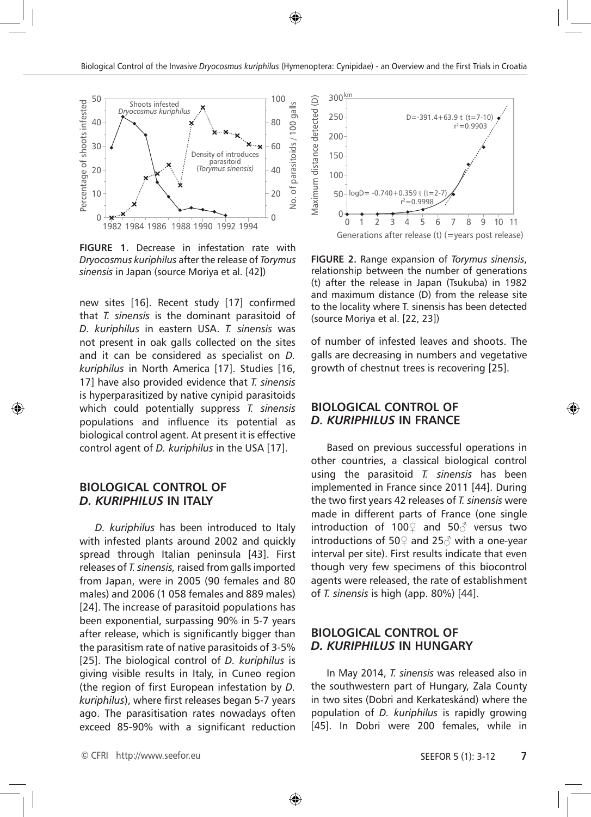

**FIGURE 1.** Decrease in infestation rate with *Dryocosmus kuriphilus* after the release of *Torymus sinensis* in Japan (source Moriya et al. [42])

new sites [16]. Recent study [17] confirmed that *T. sinensis* is the dominant parasitoid of *D. kuriphilus* in eastern USA. *T. sinensis* was not present in oak galls collected on the sites and it can be considered as specialist on *D. kuriphilus* in North America [17]. Studies [16, 17] have also provided evidence that *T. sinensis*  is hyperparasitized by native cynipid parasitoids which could potentially suppress *T. sinensis*  populations and influence its potential as biological control agent. At present it is effective control agent of *D. kuriphilus* in the USA [17].

#### **BIOLOGICAL CONTROL OF**  *D. KURIPHILUS* **IN ITALY**

*D. kuriphilus* has been introduced to Italy with infested plants around 2002 and quickly spread through Italian peninsula [43]. First releases of *T. sinensis,* raised from galls imported from Japan, were in 2005 (90 females and 80 males) and 2006 (1 058 females and 889 males) [24]. The increase of parasitoid populations has been exponential, surpassing 90% in 5-7 years after release, which is significantly bigger than the parasitism rate of native parasitoids of 3-5% [25]. The biological control of *D. kuriphilus* is giving visible results in Italy, in Cuneo region (the region of first European infestation by *D. kuriphilus*), where first releases began 5-7 years ago. The parasitisation rates nowadays often exceed 85-90% with a significant reduction



**FIGURE 2.** Range expansion of *Torymus sinensis*, relationship between the number of generations (t) after the release in Japan (Tsukuba) in 1982 and maximum distance (D) from the release site to the locality where T. sinensis has been detected (source Moriya et al. [22, 23])

of number of infested leaves and shoots. The galls are decreasing in numbers and vegetative growth of chestnut trees is recovering [25].

#### **BIOLOGICAL CONTROL OF**  *D. KURIPHILUS* **IN FRANCE**

Based on previous successful operations in other countries, a classical biological control using the parasitoid *T. sinensis* has been implemented in France since 2011 [44]. During the two first years 42 releases of *T. sinensis* were made in different parts of France (one single introduction of 100♀ and 50♂ versus two introductions of 50 $\Omega$  and 25 $\partial$  with a one-year interval per site). First results indicate that even though very few specimens of this biocontrol agents were released, the rate of establishment of *T. sinensis* is high (app. 80%) [44].

#### **BIOLOGICAL CONTROL OF**  *D. KURIPHILUS* **IN HUNGARY**

In May 2014, *T. sinensis* was released also in the southwestern part of Hungary, Zala County in two sites (Dobri and Kerkateskánd) where the population of *D. kuriphilus* is rapidly growing [45]. In Dobri were 200 females, while in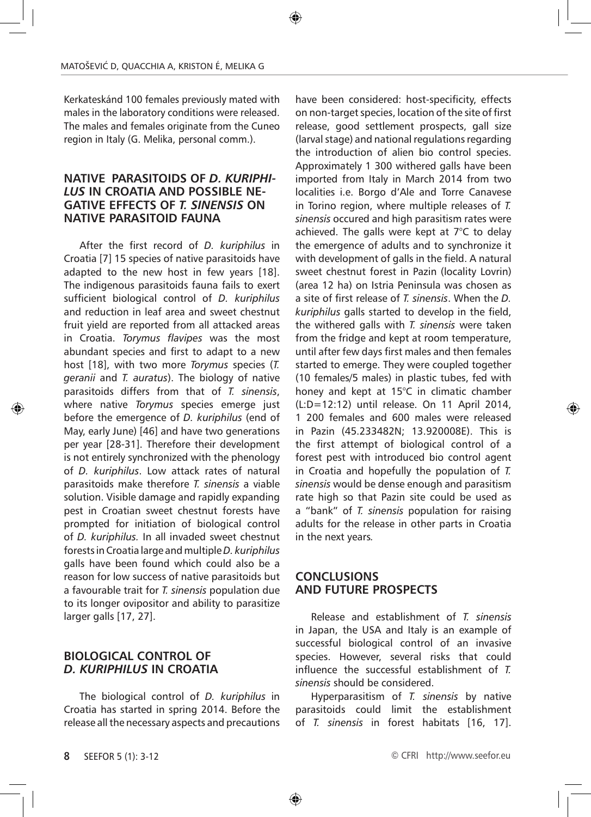Kerkateskánd 100 females previously mated with males in the laboratory conditions were released. The males and females originate from the Cuneo region in Italy (G. Melika, personal comm.).

#### **NATIVE PARASITOIDS OF** *D. KURIPHI-LUS* **IN CROATIA AND POSSIBLE NE-GATIVE EFFECTS OF** *T. SINENSIS* **ON NATIVE PARASITOID FAUNA**

After the first record of *D. kuriphilus* in Croatia [7] 15 species of native parasitoids have adapted to the new host in few years [18]. The indigenous parasitoids fauna fails to exert sufficient biological control of *D. kuriphilus*  and reduction in leaf area and sweet chestnut fruit yield are reported from all attacked areas in Croatia. *Torymus flavipes* was the most abundant species and first to adapt to a new host [18], with two more *Torymus* species (*T. geranii* and *T. auratus*). The biology of native parasitoids differs from that of *T. sinensis*, where native *Torymus* species emerge just before the emergence of *D. kuriphilus* (end of May, early June) [46] and have two generations per year [28-31]. Therefore their development is not entirely synchronized with the phenology of *D. kuriphilus*. Low attack rates of natural parasitoids make therefore *T. sinensis* a viable solution. Visible damage and rapidly expanding pest in Croatian sweet chestnut forests have prompted for initiation of biological control of *D. kuriphilus.* In all invaded sweet chestnut forests in Croatia large and multiple *D. kuriphilus*  galls have been found which could also be a reason for low success of native parasitoids but a favourable trait for *T. sinensis* population due to its longer ovipositor and ability to parasitize larger galls [17, 27].

#### **BIOLOGICAL CONTROL OF**  *D. KURIPHILUS* **IN CROATIA**

The biological control of *D. kuriphilus* in Croatia has started in spring 2014. Before the release all the necessary aspects and precautions have been considered: host-specificity, effects on non-target species, location of the site of first release, good settlement prospects, gall size (larval stage) and national regulations regarding the introduction of alien bio control species. Approximately 1 300 withered galls have been imported from Italy in March 2014 from two localities i.e. Borgo d'Ale and Torre Canavese in Torino region, where multiple releases of *T. sinensis* occured and high parasitism rates were achieved. The galls were kept at 7°C to delay the emergence of adults and to synchronize it with development of galls in the field. A natural sweet chestnut forest in Pazin (locality Lovrin) (area 12 ha) on Istria Peninsula was chosen as a site of first release of *T. sinensis*. When the *D. kuriphilus* galls started to develop in the field, the withered galls with *T. sinensis* were taken from the fridge and kept at room temperature, until after few days first males and then females started to emerge. They were coupled together (10 females/5 males) in plastic tubes, fed with honey and kept at 15°C in climatic chamber (L:D=12:12) until release. On 11 April 2014, 1 200 females and 600 males were released in Pazin (45.233482N; 13.920008E). This is the first attempt of biological control of a forest pest with introduced bio control agent in Croatia and hopefully the population of *T. sinensis* would be dense enough and parasitism rate high so that Pazin site could be used as a "bank" of *T. sinensis* population for raising adults for the release in other parts in Croatia in the next years*.*

#### **CONCLUSIONS AND FUTURE PROSPECTS**

Release and establishment of *T. sinensis*  in Japan, the USA and Italy is an example of successful biological control of an invasive species. However, several risks that could influence the successful establishment of *T. sinensis* should be considered.

Hyperparasitism of *T. sinensis* by native parasitoids could limit the establishment of *T. sinensis* in forest habitats [16, 17].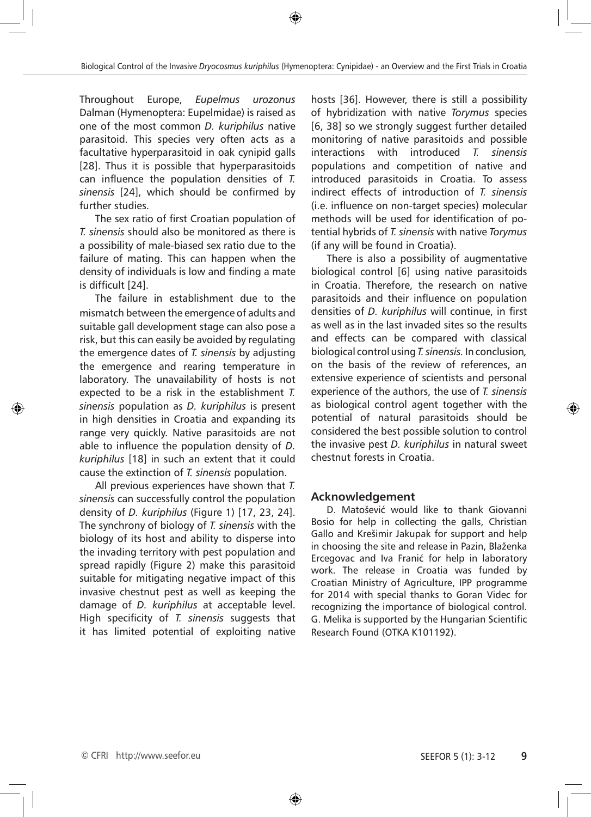Throughout Europe, *Eupelmus urozonus*  Dalman (Hymenoptera: Eupelmidae) is raised as one of the most common *D. kuriphilus* native parasitoid. This species very often acts as a facultative hyperparasitoid in oak cynipid galls [28]. Thus it is possible that hyperparasitoids can influence the population densities of *T. sinensis* [24], which should be confirmed by further studies.

The sex ratio of first Croatian population of *T. sinensis* should also be monitored as there is a possibility of male-biased sex ratio due to the failure of mating. This can happen when the density of individuals is low and finding a mate is difficult [24].

The failure in establishment due to the mismatch between the emergence of adults and suitable gall development stage can also pose a risk, but this can easily be avoided by regulating the emergence dates of *T. sinensis* by adjusting the emergence and rearing temperature in laboratory. The unavailability of hosts is not expected to be a risk in the establishment *T. sinensis* population as *D. kuriphilus* is present in high densities in Croatia and expanding its range very quickly. Native parasitoids are not able to influence the population density of *D. kuriphilus* [18] in such an extent that it could cause the extinction of *T. sinensis* population.

All previous experiences have shown that *T. sinensis* can successfully control the population density of *D. kuriphilus* (Figure 1) [17, 23, 24]. The synchrony of biology of *T. sinensis* with the biology of its host and ability to disperse into the invading territory with pest population and spread rapidly (Figure 2) make this parasitoid suitable for mitigating negative impact of this invasive chestnut pest as well as keeping the damage of *D. kuriphilus* at acceptable level. High specificity of *T. sinensis* suggests that it has limited potential of exploiting native

hosts [36]. However, there is still a possibility of hybridization with native *Torymus* species [6, 38] so we strongly suggest further detailed monitoring of native parasitoids and possible interactions with introduced *T. sinensis*  populations and competition of native and introduced parasitoids in Croatia. To assess indirect effects of introduction of *T. sinensis*  (i.e. influence on non-target species) molecular methods will be used for identification of potential hybrids of *T. sinensis* with native *Torymus*  (if any will be found in Croatia).

There is also a possibility of augmentative biological control [6] using native parasitoids in Croatia. Therefore, the research on native parasitoids and their influence on population densities of *D. kuriphilus* will continue, in first as well as in the last invaded sites so the results and effects can be compared with classical biological control using *T. sinensis.* In conclusion*,*  on the basis of the review of references, an extensive experience of scientists and personal experience of the authors, the use of *T. sinensis*  as biological control agent together with the potential of natural parasitoids should be considered the best possible solution to control the invasive pest *D. kuriphilus* in natural sweet chestnut forests in Croatia.

# **Acknowledgement**

D. Matošević would like to thank Giovanni Bosio for help in collecting the galls, Christian Gallo and Krešimir Jakupak for support and help in choosing the site and release in Pazin, Blaženka Ercegovac and Iva Franić for help in laboratory work. The release in Croatia was funded by Croatian Ministry of Agriculture, IPP programme for 2014 with special thanks to Goran Videc for recognizing the importance of biological control. G. Melika is supported by the Hungarian Scientific Research Found (OTKA K101192).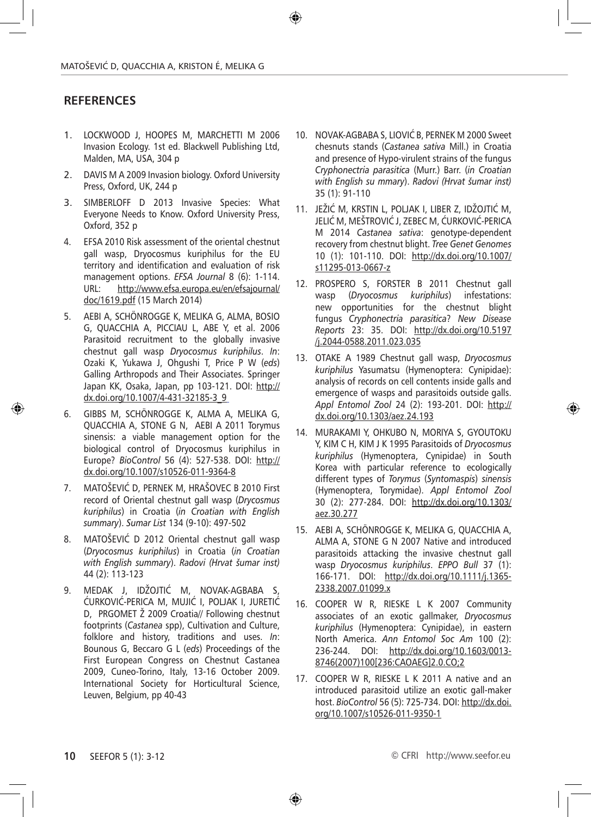# **RefereNces**

- 1. LOCKWOOD J, HOOPES M, MARCHETTI M 2006 Invasion Ecology. 1st ed. Blackwell Publishing Ltd, Malden, MA, USA, 304 p
- 2. DAVIS M A 2009 Invasion biology. Oxford University Press, Oxford, UK, 244 p
- 3. SIMBERLOFF D 2013 Invasive Species: What Everyone Needs to Know. Oxford University Press, Oxford, 352 p
- 4. EFSA 2010 Risk assessment of the oriental chestnut gall wasp, Dryocosmus kuriphilus for the EU territory and identification and evaluation of risk management options. *EFSA Journal* 8 (6): 1-114. URL: http://www.efsa.europa.eu/en/efsajournal/ doc/1619.pdf (15 March 2014)
- 5. AEBI A, SCHÖNROGGE K, MELIKA G, ALMA, BOSIO G, QUACCHIA A, PICCIAU L, ABE Y, et al. 2006 Parasitoid recruitment to the globally invasive chestnut gall wasp *Dryocosmus kuriphilus*. *In*: Ozaki K, Yukawa J, Ohgushi T, Price P W (*eds*) Galling Arthropods and Their Associates. Springer Japan KK, Osaka, Japan, pp 103-121. DOI: http:// dx.doi.org/10.1007/4-431-32185-3\_9
- 6. GIBBS M, SCHÖNROGGE K, ALMA A, MELIKA G, QUACCHIA A, STONE G N, AEBI A 2011 Torymus sinensis: a viable management option for the biological control of Dryocosmus kuriphilus in Europe? *BioControl* 56 (4): 527-538. DOI: http:// dx.doi.org/10.1007/s10526-011-9364-8
- 7. MATOŠEVIĆ D, PERNEK M, HRAŠOVEC B 2010 First record of Oriental chestnut gall wasp (*Drycosmus kuriphilus*) in Croatia (*in Croatian with English summary*). *Sumar List* 134 (9-10): 497-502
- 8. MATOŠEVIĆ D 2012 Oriental chestnut gall wasp (*Dryocosmus kuriphilus*) in Croatia (*in Croatian with English summary*). *Radovi (Hrvat šumar inst)* 44 (2): 113-123
- 9. MEDAK J, IDŽOJTIĆ M, NOVAK-AGBABA S, ĆURKOVIĆ-PERICA M, MUJIĆ I, POLJAK I, JURETIĆ D, PRGOMET Ž 2009 Croatia// Following chestnut footprints (*Castanea* spp), Cultivation and Culture, folklore and history, traditions and uses. *In*: Bounous G, Beccaro G L (*eds*) Proceedings of the First European Congress on Chestnut Castanea 2009, Cuneo-Torino, Italy, 13-16 October 2009. International Society for Horticultural Science, Leuven, Belgium, pp 40-43
- 10. NOVAK-AGBABA S, LIOVIĆ B, PERNEK M 2000 Sweet chesnuts stands (*Castanea sativa* Mill.) in Croatia and presence of Hypo-virulent strains of the fungus *Cryphonectria parasitica* (Murr.) Barr. (*in Croatian with English su mmary*). *Radovi (Hrvat šumar inst)*  35 (1): 91-110
- 11. JEŽIĆ M, KRSTIN L, POLJAK I, LIBER Z, IDŽOJTIĆ M, JELIĆ M, MEŠTROVIĆ J, ZEBEC M, ĆURKOVIĆ-PERICA M 2014 *Castanea sativa*: genotype-dependent recovery from chestnut blight. *Tree Genet Genomes* 10 (1): 101-110. DOI: http://dx.doi.org/10.1007/ s11295-013-0667-z
- 12. PROSPERO S, FORSTER B 2011 Chestnut gall wasp (*Dryocosmus kuriphilus*) infestations: new opportunities for the chestnut blight fungus *Cryphonectria parasitica*? *New Disease Reports* 23: 35. DOI: http://dx.doi.org/10.5197 /j.2044-0588.2011.023.035
- 13. OTAKE A 1989 Chestnut gall wasp, *Dryocosmus kuriphilus* Yasumatsu (Hymenoptera: Cynipidae): analysis of records on cell contents inside galls and emergence of wasps and parasitoids outside galls. *Appl Entomol Zool* 24 (2): 193-201. DOI: http:// dx.doi.org/10.1303/aez.24.193
- 14. MURAKAMI Y, OHKUBO N, MORIYA S, GYOUTOKU Y, KIM C H, KIM J K 1995 Parasitoids of *Dryocosmus kuriphilus* (Hymenoptera, Cynipidae) in South Korea with particular reference to ecologically different types of *Torymus* (*Syntomaspis*) *sinensis* (Hymenoptera, Torymidae). *Appl Entomol Zool* 30 (2): 277-284. DOI: http://dx.doi.org/10.1303/ aez.30.277
- 15. AEBI A, SCHÖNROGGE K, MELIKA G, QUACCHIA A, ALMA A, STONE G N 2007 Native and introduced parasitoids attacking the invasive chestnut gall wasp *Dryocosmus kuriphilus*. *EPPO Bull* 37 (1): 166-171. DOI: http://dx.doi.org/10.1111/j.1365- 2338.2007.01099.x
- 16. COOPER W R, RIESKE L K 2007 Community associates of an exotic gallmaker, *Dryocosmus kuriphilus* (Hymenoptera: Cynipidae), in eastern North America. *Ann Entomol Soc Am* 100 (2): 236-244. DOI: http://dx.doi.org/10.1603/0013- 8746(2007)100[236:CAOAEG]2.0.CO;2
- 17. COOPER W R, RIESKE L K 2011 A native and an introduced parasitoid utilize an exotic gall-maker host. *BioControl* 56 (5): 725-734. DOI: http://dx.doi. org/10.1007/s10526-011-9350-1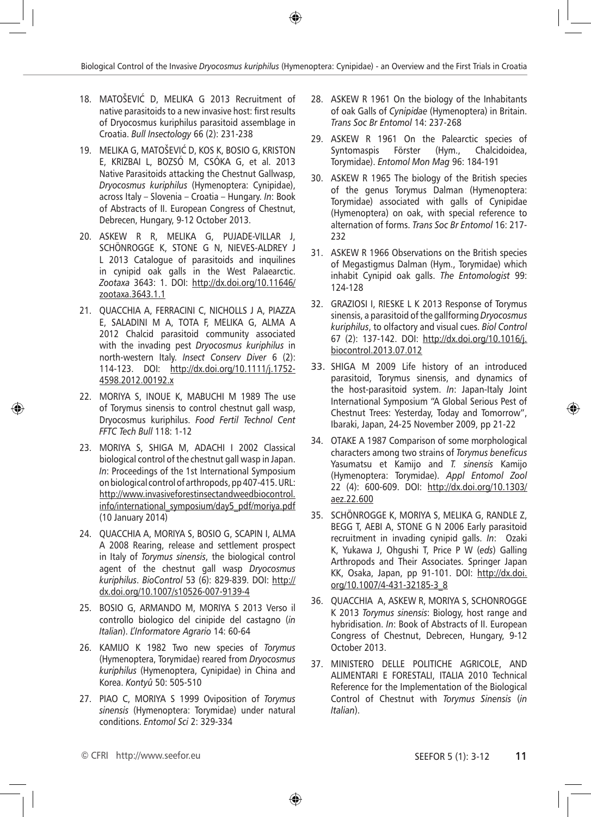- 18. MATOŠEVIĆ D, MELIKA G 2013 Recruitment of native parasitoids to a new invasive host: first results of Dryocosmus kuriphilus parasitoid assemblage in Croatia. *Bull Insectology* 66 (2): 231-238
- 19. MELIKA G, MATOŠEVIĆ D, KOS K, BOSIO G, KRISTON E, KRIZBAI L, BOZSÓ M, CSÓKA G, et al. 2013 Native Parasitoids attacking the Chestnut Gallwasp, *Dryocosmus kuriphilus* (Hymenoptera: Cynipidae), across Italy – Slovenia – Croatia – Hungary. *In*: Book of Abstracts of II. European Congress of Chestnut, Debrecen, Hungary, 9-12 October 2013.
- 20. ASKEW R R, MELIKA G, PUJADE-VILLAR J, SCHÖNROGGE K, STONE G N, NIEVES-ALDREY J L 2013 Catalogue of parasitoids and inquilines in cynipid oak galls in the West Palaearctic. *Zootaxa* 3643: 1. DOI: http://dx.doi.org/10.11646/ zootaxa.3643.1.1
- 21. QUACCHIA A, FERRACINI C, NICHOLLS J A, PIAZZA E, SALADINI M A, TOTA F, MELIKA G, ALMA A 2012 Chalcid parasitoid community associated with the invading pest *Dryocosmus kuriphilus* in north-western Italy. *Insect Conserv Diver* 6 (2): 114-123. DOI: http://dx.doi.org/10.1111/j.1752- 4598.2012.00192.x
- 22. MORIYA S, INOUE K, MABUCHI M 1989 The use of Torymus sinensis to control chestnut gall wasp, Dryocosmus kuriphilus. *Food Fertil Technol Cent FFTC Tech Bull* 118: 1-12
- 23. MORIYA S, SHIGA M, ADACHI I 2002 Classical biological control of the chestnut gall wasp in Japan. *In*: Proceedings of the 1st International Symposium on biological control of arthropods, pp 407-415. URL: http://www.invasiveforestinsectandweedbiocontrol. info/international\_symposium/day5\_pdf/moriya.pdf (10 January 2014)
- 24. QUACCHIA A, MORIYA S, BOSIO G, SCAPIN I, ALMA A 2008 Rearing, release and settlement prospect in Italy of *Torymus sinensis*, the biological control agent of the chestnut gall wasp *Dryocosmus kuriphilus*. *BioControl* 53 (6): 829-839. DOI: http:// dx.doi.org/10.1007/s10526-007-9139-4
- 25. BOSIO G, ARMANDO M, MORIYA S 2013 Verso il controllo biologico del cinipide del castagno (*in Italian*). *L'Informatore Agrario* 14: 60-64
- 26. KAMIJO K 1982 Two new species of *Torymus* (Hymenoptera, Torymidae) reared from *Dryocosmus kuriphilus* (Hymenoptera, Cynipidae) in China and Korea. *Kontyû* 50: 505-510
- 27. PIAO C, MORIYA S 1999 Oviposition of *Torymus sinensis* (Hymenoptera: Torymidae) under natural conditions. *Entomol Sci* 2: 329-334
- 28. ASKEW R 1961 On the biology of the Inhabitants of oak Galls of *Cynipidae* (Hymenoptera) in Britain. *Trans Soc Br Entomol* 14: 237-268
- 29. ASKEW R 1961 On the Palearctic species of Syntomaspis Förster (Hym., Chalcidoidea, Torymidae). *Entomol Mon Mag* 96: 184-191
- 30. ASKEW R 1965 The biology of the British species of the genus Torymus Dalman (Hymenoptera: Torymidae) associated with galls of Cynipidae (Hymenoptera) on oak, with special reference to alternation of forms. *Trans Soc Br Entomol* 16: 217- 232
- 31. ASKEW R 1966 Observations on the British species of Megastigmus Dalman (Hym., Torymidae) which inhabit Cynipid oak galls. *The Entomologist* 99: 124-128
- 32. GRAZIOSI I, RIESKE L K 2013 Response of Torymus sinensis, a parasitoid of the gallforming *Dryocosmus kuriphilus*, to olfactory and visual cues. *Biol Control* 67 (2): 137-142. DOI: http://dx.doi.org/10.1016/j. biocontrol.2013.07.012
- 33. SHIGA M 2009 Life history of an introduced parasitoid, Torymus sinensis, and dynamics of the host-parasitoid system. *In*: Japan-Italy Joint International Symposium "A Global Serious Pest of Chestnut Trees: Yesterday, Today and Tomorrow", Ibaraki, Japan, 24-25 November 2009, pp 21-22
- 34. OTAKE A 1987 Comparison of some morphological characters among two strains of *Torymus beneficus* Yasumatsu et Kamijo and *T. sinensis* Kamijo (Hymenoptera: Torymidae). *Appl Entomol Zool* 22 (4): 600-609. DOI: http://dx.doi.org/10.1303/ aez.22.600
- 35. SCHÖNROGGE K, MORIYA S, MELIKA G, RANDLE Z, BEGG T, AEBI A, STONE G N 2006 Early parasitoid recruitment in invading cynipid galls. *In*: Ozaki K, Yukawa J, Ohgushi T, Price P W (*eds*) Galling Arthropods and Their Associates. Springer Japan KK, Osaka, Japan, pp 91-101. DOI: http://dx.doi. org/10.1007/4-431-32185-3\_8
- 36. QUACCHIA A, ASKEW R, MORIYA S, SCHONROGGE K 2013 *Torymus sinensis*: Biology, host range and hybridisation. *In*: Book of Abstracts of II. European Congress of Chestnut, Debrecen, Hungary, 9-12 October 2013.
- 37. MINISTERO DELLE POLITICHE AGRICOLE, AND ALIMENTARI E FORESTALI, ITALIA 2010 Technical Reference for the Implementation of the Biological Control of Chestnut with *Torymus Sinensis* (*in Italian*).